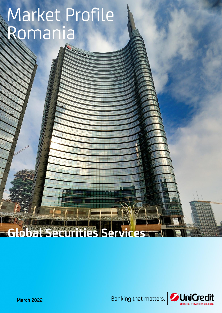# Market Profile Romania

UNICREEN!

## **Global Securities Services**



**March 2022**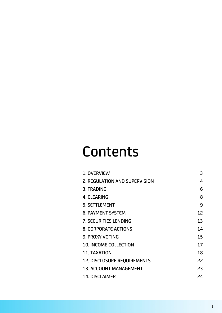## **Contents**

| 1. OVERVIEW                        | 3  |
|------------------------------------|----|
| 2. REGULATION AND SUPERVISION      | 4  |
| 3. TRADING                         | 6  |
| <b>4. CLEARING</b>                 | 8  |
| <b>5. SETTLEMENT</b>               | 9  |
| <b>6. PAYMENT SYSTEM</b>           | 12 |
| <b>7. SECURITIES LENDING</b>       | 13 |
| <b>8. CORPORATE ACTIONS</b>        | 14 |
| <b>9. PROXY VOTING</b>             | 15 |
| <b>10. INCOME COLLECTION</b>       | 17 |
| <b>11. TAXATION</b>                | 18 |
| <b>12. DISCLOSURE REQUIREMENTS</b> | 22 |
| <b>13. ACCOUNT MANAGEMENT</b>      | 23 |
| <b>14. DISCLAIMER</b>              | 24 |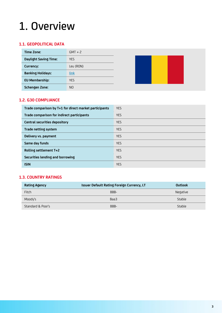### <span id="page-2-0"></span>1. Overview

#### **1.1. GEOPOLITICAL DATA**

| Time Zone:                   | $GMT + 2$      |  |  |
|------------------------------|----------------|--|--|
| <b>Daylight Saving Time:</b> | <b>YES</b>     |  |  |
| Currency:                    | Leu (RON)      |  |  |
| <b>Banking Holidays:</b>     | <b>link</b>    |  |  |
| <b>EU Membership:</b>        | <b>YES</b>     |  |  |
| <b>Schengen Zone:</b>        | N <sub>O</sub> |  |  |

#### **1.2. G30 COMPLIANCE**

| Trade comparison by T+1 for direct market participants | <b>YES</b> |
|--------------------------------------------------------|------------|
| Trade comparison for indirect participants             | <b>YES</b> |
| Central securities depository                          | <b>YES</b> |
| Trade netting system                                   | <b>YES</b> |
| Delivery vs. payment                                   | YES.       |
| Same day funds                                         | <b>YES</b> |
| Rolling settlement T+2                                 | <b>YES</b> |
| Securities lending and borrowing                       | <b>YES</b> |
| <b>ISIN</b>                                            | <b>YES</b> |

#### **1.3. COUNTRY RATINGS**

| <b>Rating Agency</b> | Issuer Default Rating Foreign Currency, LT | <b>Outlook</b> |
|----------------------|--------------------------------------------|----------------|
| Fitch                | BBB-                                       | Negative       |
| Moody's              | Baa3                                       | Stable         |
| Standard & Poor's    | BBB-                                       | Stable         |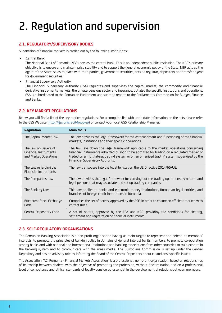### <span id="page-3-0"></span>2. Regulation and supervision

#### **2.1. REGULATORY/SUPERVISORY BODIES**

Supervision of financial markets is carried out by the following institutions:

• Central Bank:

The National Bank of Romania (NBR) acts as the central bank. This is an independent public institution. The NBR's primary objective is to ensure and maintain price stability and to support the general economic policy of the State. NBR acts as the agent of the State, so as to place with third parties, government securities, acts as registrar, depository and transfer agent for government securities.

• Financial Supervisory Authority:

The Financial Supervisory Authority (FSA) regulates and supervises the capital market, the commodity and financial derivative instruments markets, the private pensions sector and insurance, but also the specific institutions and operations. FSA is subordinated to the Romanian Parliament and submits reports to the Parliament's Commission for Budget, Finance and Banks.

#### **2.2. KEY MARKET REGULATIONS**

Below you will find a list of the key market regulations. For a complete list with up to date information on the acts please refer to the GSS Website (http://qss.unicreditgroup.eu) or contact your local GSS Relationship Manager.

| Regulation                                                              | <b>Main focus</b>                                                                                                                                                                                                                                                                                                     |
|-------------------------------------------------------------------------|-----------------------------------------------------------------------------------------------------------------------------------------------------------------------------------------------------------------------------------------------------------------------------------------------------------------------|
| The Capital Market Law                                                  | The law provides the legal framework for the establishment and functioning of the financial<br>markets, institutions and their specific operations.                                                                                                                                                                   |
| The Law on Issuers of<br>Financial Instruments<br>and Market Operations | The law lays down the legal framework applicable to the market operations concerning<br>financial instruments admitted or soon to be admitted for trading on a regulated market or<br>traded on a multilateral trading system or on an organized trading system supervised by the<br>Financial Supervisory Authority. |
| The Law regarding the<br>Financial Instruments                          | The law transposes into the local legislation the UE Directive 2014/65/UE.                                                                                                                                                                                                                                            |
| The Companies Law                                                       | The law provides the legal framework for carrying out the trading operations by natural and<br>legal persons that may associate and set up trading companies.                                                                                                                                                         |
| The Banking Law                                                         | This law applies to banks and electronic money institutions, Romanian legal entities, and<br>branches of foreign credit institutions in Romania.                                                                                                                                                                      |
| Bucharest Stock Exchange<br>Code                                        | Comprises the set of norms, approved by the ASF, in order to ensure an efficient market, with<br>correct rules.                                                                                                                                                                                                       |
| Central Depository Code                                                 | A set of norms, approved by the FSA and NBR, providing the conditions for clearing,<br>settlement and registration of financial instruments.                                                                                                                                                                          |

#### **2.3. SELF-REGULATORY ORGANISATIONS**

The Romanian Banking Association is a non-profit organisation having as main targets to represent and defend its members' interests, to promote the principles of banking policy in domains of general interest for its members, to promote co-operation among banks and with national and international institutions and banking associations from other countries to train experts in the banking system and to communicate with the mass media. The Custodians Commission is set up under the Central Depository and has an advisory role by informing the Board of the Central Depository about custodians' specific issues.

The Association "ACI Romania - Financial Markets Association" is a professional, non-profit organisation, based on relationships of fellowship between dealers, with the objective of promoting the profession, without discrimination and on a professional level of competence and ethical standards of loyalty considered essential in the development of relations between members.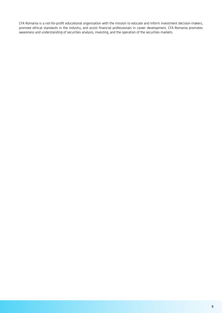CFA Romania is a not-for-profit educational organisation with the mission to educate and inform investment decision-makers, promote ethical standards in the industry, and assist financial professionals in career development. CFA Romania promotes awareness and understanding of securities analysis, investing, and the operation of the securities markets.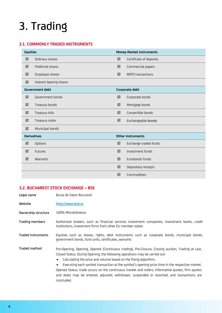### <span id="page-5-0"></span>3. Trading

#### **3.1. COMMONLY TRADED INSTRUMENTS**

| <b>Equities</b> |                         |   | <b>Money Market instruments</b> |
|-----------------|-------------------------|---|---------------------------------|
| ☑               | Ordinary shares         | ☑ | Certificate of deposits         |
| ☑               | Preferred shares        | ☑ | Commercial papers               |
| ☑               | Employee shares         | ☑ | <b>REPO transactions</b>        |
| ☑               | Interest bearing shares |   |                                 |
|                 | <b>Government debt</b>  |   | Corporate debt                  |
| ☑               | Government bonds        | ☑ | Corporate bonds                 |
| ☑               | Treasury bonds          | ☑ | Mortgage bonds                  |
| ☑               | Treasury bills          | ☑ | Convertible bonds               |
| ☑               | Treasury notes          | ☑ | Exchangeable bonds              |
| ☑               | Municipal bonds         |   |                                 |
|                 | <b>Derivatives</b>      |   | <b>Other instruments</b>        |
| ☑               | Options                 | ☑ | Exchange traded funds           |
| ☑               | <b>Futures</b>          | ☑ | Investment funds                |
| ☑               | Warrants                | ☑ | Eurobonds funds                 |
|                 |                         | ☑ | Depositary receipts             |
|                 |                         | ☑ | Commodities                     |

#### **3.2. BUCHAREST STOCK EXCHANGE – BSE**

| Legal name          | Bursa de Valori Bucuresti                                                                                                                                                                                                                                                                                                                                                                                                                                                                                                                                                                      |
|---------------------|------------------------------------------------------------------------------------------------------------------------------------------------------------------------------------------------------------------------------------------------------------------------------------------------------------------------------------------------------------------------------------------------------------------------------------------------------------------------------------------------------------------------------------------------------------------------------------------------|
| Website             | http://www.bvb.ro                                                                                                                                                                                                                                                                                                                                                                                                                                                                                                                                                                              |
| Ownership structure | 100% Miscellaneous                                                                                                                                                                                                                                                                                                                                                                                                                                                                                                                                                                             |
| Trading members     | Authorised brokers, such as financial services investment companies, investment banks, credit<br>institutions, investment firms from other EU member states                                                                                                                                                                                                                                                                                                                                                                                                                                    |
| Traded instruments  | Equities such as shares, rights, debt instruments such as corporate bonds, municipal bonds,<br>government bonds, fund units, certificates, warrants                                                                                                                                                                                                                                                                                                                                                                                                                                            |
| Traded method       | Pre-Opening, Opening, Opened (Continuous trading), Pre-Closure, Closing auction, Trading at Last,<br>Closed Status. During Opening, the following operations may be carried out:<br>Calculating the price and volume based on the fixing algorithm;<br>$\bullet$<br>Executing each symbol transaction at the symbol's opening price time in the respective market.<br>$\bullet$<br>Opened Status: trade occurs on the continuous market and orders, informative quotes, firm quotes<br>and deals may be entered, adjusted, withdrawn, suspended or resumed, and transactions are<br>concluded. |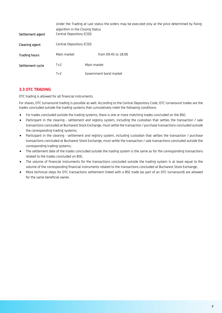| Settlement agent | algorithm in the Closing Status<br>Central Depository (CSD) |             | Under the Trading at Last status the orders may be executed only at the price determined by fixing |
|------------------|-------------------------------------------------------------|-------------|----------------------------------------------------------------------------------------------------|
| Clearing agent   | Central Depository (CSD)                                    |             |                                                                                                    |
| Trading hours    | Main market                                                 |             | from 09:45 to 18:00                                                                                |
| Settlement cycle | $T+2$                                                       | Main market |                                                                                                    |
|                  | $T+2$                                                       |             | Government bond market                                                                             |

#### **3.3 OTC TRADING**

OTC trading is allowed for all financial instruments.

For shares, OTC turnaround trading is possible as well. According to the Central Depository Code, OTC turnaround trades are the trades concluded outside the trading systems that cumulatively meet the following conditions:

- For trades concluded outside the trading systems, there is one or more matching trades concluded on the BSE;
- Participant in the clearing settlement and registry system, including the custodian that settles the transaction / sale transactions concluded at Bucharest Stock Exchange, must settle the transaction / purchase transactions concluded outside the corresponding trading systems;
- Participant in the clearing settlement and registry system, including custodian that settles the transaction / purchase transactions concluded at Bucharest Stock Exchange, must settle the transaction / sale transactions concluded outside the corresponding trading systems;
- The settlement date of the trades concluded outside the trading system is the same as for the corresponding transactions related to the trades concluded on BSE;
- The volume of financial instruments for the transactions concluded outside the trading system is at least equal to the volume of the corresponding financial instruments related to the transactions concluded at Bucharest Stock Exchange;
- More technical steps for OTC transactions settlement linked with a BSE trade (as part of an OTC turnaround) are allowed for the same beneficial owner.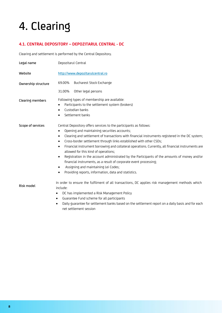### <span id="page-7-0"></span>4. Clearing

#### **4.1. CENTRAL DEPOSITORY – DEPOZITARUL CENTRAL - DC**

Clearing and settlement is performed by the Central Depository.

| Legal name          | Depozitarul Central                                                                                                                                                                                                                                                                                                                                                                                                                                                                                                                                                                                                                                                                                                                                                                       |  |  |  |  |
|---------------------|-------------------------------------------------------------------------------------------------------------------------------------------------------------------------------------------------------------------------------------------------------------------------------------------------------------------------------------------------------------------------------------------------------------------------------------------------------------------------------------------------------------------------------------------------------------------------------------------------------------------------------------------------------------------------------------------------------------------------------------------------------------------------------------------|--|--|--|--|
| Website             | http://www.depozitarulcentral.ro                                                                                                                                                                                                                                                                                                                                                                                                                                                                                                                                                                                                                                                                                                                                                          |  |  |  |  |
| Ownership structure | 69.00%<br>Bucharest Stock Exchange                                                                                                                                                                                                                                                                                                                                                                                                                                                                                                                                                                                                                                                                                                                                                        |  |  |  |  |
|                     | Other legal persons<br>31.00%                                                                                                                                                                                                                                                                                                                                                                                                                                                                                                                                                                                                                                                                                                                                                             |  |  |  |  |
| Clearing members    | Following types of membership are available:<br>Participants to the settlement system (brokers)<br>$\bullet$<br>Custodian banks<br>٠<br>Settlement banks                                                                                                                                                                                                                                                                                                                                                                                                                                                                                                                                                                                                                                  |  |  |  |  |
| Scope of services   | Central Depository offers services to the participants as follows:<br>Opening and maintaining securities accounts;<br>$\bullet$<br>Clearing and settlement of transactions with financial instruments registered in the DC system;<br>٠<br>Cross-border settlement through links established with other CSDs;<br>$\bullet$<br>Financial instrument borrowing and collateral operations. Currently, all financial instruments are<br>$\bullet$<br>allowed for this kind of operations;<br>Registration in the account administrated by the Participants of the amounts of money and/or<br>$\bullet$<br>financial instruments, as a result of corporate event processing;<br>Assigning and maintaining Lei Codes;<br>$\bullet$<br>Providing reports, information, data and statistics.<br>٠ |  |  |  |  |
| Risk model          | In order to ensure the fulfilment of all transactions, DC applies risk management methods which<br>include:<br>DC has implemented a Risk Management Policy<br>$\bullet$<br>Guarantee Fund scheme for all participants<br>$\bullet$<br>Daily duarantee for cottlement banks based on the settlement report on a daily basis and for each                                                                                                                                                                                                                                                                                                                                                                                                                                                   |  |  |  |  |

• Daily guarantee for settlement banks based on the settlement report on a daily basis and for each net settlement session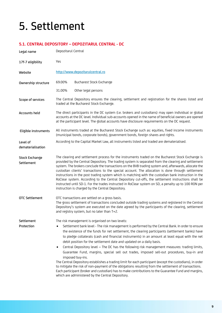### <span id="page-8-0"></span>5. Settlement

#### **5.1. CENTRAL DEPOSITORY – DEPOZITARUL CENTRAL - DC**

| Legal name                    | Depozitarul Central                                                                                                                                                                                                                                                                                                                                                                                                                                                                                                                                                                                                                                                                                                                                                                                                                                                                                                                  |  |  |  |
|-------------------------------|--------------------------------------------------------------------------------------------------------------------------------------------------------------------------------------------------------------------------------------------------------------------------------------------------------------------------------------------------------------------------------------------------------------------------------------------------------------------------------------------------------------------------------------------------------------------------------------------------------------------------------------------------------------------------------------------------------------------------------------------------------------------------------------------------------------------------------------------------------------------------------------------------------------------------------------|--|--|--|
| 17f-7 eligibility             | Yes                                                                                                                                                                                                                                                                                                                                                                                                                                                                                                                                                                                                                                                                                                                                                                                                                                                                                                                                  |  |  |  |
| Website                       | http://www.depozitarulcentral.ro                                                                                                                                                                                                                                                                                                                                                                                                                                                                                                                                                                                                                                                                                                                                                                                                                                                                                                     |  |  |  |
| Ownership structure           | 69.00%<br>Bucharest Stock Exchange                                                                                                                                                                                                                                                                                                                                                                                                                                                                                                                                                                                                                                                                                                                                                                                                                                                                                                   |  |  |  |
|                               | Other legal persons<br>31.00%                                                                                                                                                                                                                                                                                                                                                                                                                                                                                                                                                                                                                                                                                                                                                                                                                                                                                                        |  |  |  |
| Scope of services             | The Central Depository ensures the clearing, settlement and registration for the shares listed and<br>traded at the Bucharest Stock Exchange.                                                                                                                                                                                                                                                                                                                                                                                                                                                                                                                                                                                                                                                                                                                                                                                        |  |  |  |
| Accounts held                 | The direct participants in the DC system (i.e. brokers and custodians) may open individual or global<br>accounts at the DC level. Individual sub-accounts opened in the name of beneficial owners are opened<br>at the participant level. The global accounts have disclosure requirements on the DC request.                                                                                                                                                                                                                                                                                                                                                                                                                                                                                                                                                                                                                        |  |  |  |
| Eligible instruments          | All instruments traded at the Bucharest Stock Exchange such as: equities, fixed income instruments<br>(municipal bonds, corporate bonds), government bonds, foreign shares and rights.                                                                                                                                                                                                                                                                                                                                                                                                                                                                                                                                                                                                                                                                                                                                               |  |  |  |
| Level of<br>dematerialisation | According to the Capital Market Law, all instruments listed and traded are dematerialised.                                                                                                                                                                                                                                                                                                                                                                                                                                                                                                                                                                                                                                                                                                                                                                                                                                           |  |  |  |
| Stock Exchange<br>Settlement  | The clearing and settlement process for the instruments traded on the Bucharest Stock Exchange is<br>provided by the Central Depository. The trading system is separated from the clearing and settlement<br>system. The brokers conclude the transactions on the BVB trading system and, afterwards, allocate the<br>custodian clients' transactions to the special account. The allocation is done through settlement<br>instructions in the post trading system which is matching with the custodian bank instruction in the<br>RoClear system. According to the Central Depository cut-offs, the settlement instructions shall be<br>instructed until SD-1. For the trades instructed in RoClear system on SD, a penalty up to 100 RON per<br>instruction is charged by the Central Depository.                                                                                                                                  |  |  |  |
| <b>OTC Settlement</b>         | OTC transactions are settled on a gross basis.<br>The gross settlement of transactions concluded outside trading systems and registered in the Central<br>Depository's system are executed on the date agreed by the participants of the clearing, settlement<br>and registry system, but no later than T+2.                                                                                                                                                                                                                                                                                                                                                                                                                                                                                                                                                                                                                         |  |  |  |
| Settlement                    | The risk management is organised on two levels:                                                                                                                                                                                                                                                                                                                                                                                                                                                                                                                                                                                                                                                                                                                                                                                                                                                                                      |  |  |  |
| Protection                    | Settlement bank level - The risk management is performed by the Central Bank. In order to ensure<br>the existence of the funds for net settlement, the clearing participants (settlement banks) have<br>to pledge collaterals (cash and financial instruments) in an amount at least equal with the net<br>debit position for the settlement date and updated on a daily basis.<br>Central Depository level - The DC has the following risk management measures: trading limits,<br>٠<br>Guarantee Fund, margins, special sell out trades, imposed sell-out procedures, buy-in and<br>imposed buy-ins.<br>The Central Depository establishes a trading limit for each participant (except the custodians), in order<br>to mitigate the risk of non-payment of the obligations resulting from the settlement of transactions.<br>Each participant (broker and custodian) has to make contributions to the Guarantee Fund and margins, |  |  |  |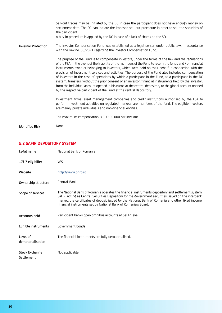|                            | Sell-out trades may be initiated by the DC in case the participant does not have enough money on<br>settlement date. The DC can initiate the imposed sell-out procedure in order to sell the securities of<br>the participant.<br>A buy-in procedure is applied by the DC in case of a lack of shares on the SD.                                                                                                                                                                                                                                                                                                                                                                                                                                                                                                                     |
|----------------------------|--------------------------------------------------------------------------------------------------------------------------------------------------------------------------------------------------------------------------------------------------------------------------------------------------------------------------------------------------------------------------------------------------------------------------------------------------------------------------------------------------------------------------------------------------------------------------------------------------------------------------------------------------------------------------------------------------------------------------------------------------------------------------------------------------------------------------------------|
| <b>Investor Protection</b> | The Investor Compensation Fund was established as a legal person under public law, in accordance<br>with the Law no. 88/2021 regarding the Investor Compensation Fund.                                                                                                                                                                                                                                                                                                                                                                                                                                                                                                                                                                                                                                                               |
|                            | The purpose of the Fund is to compensate investors, under the terms of the law and the regulations<br>of the FSA, in the event of the inability of the members of the Fund to return the funds and / or financial<br>instruments owed or belonging to investors, which were held on their behalf in connection with the<br>provision of investment services and activities. The purpose of the Fund also includes compensation<br>of investors in the case of operations by which a participant in the Fund, as a participant in the DC<br>system, transfers, without the prior consent of an investor, financial instruments held by the investor.<br>from the individual account opened in his name at the central depository to the global account opened<br>by the respective participant of the Fund at the central depository. |
|                            | Investment firms, asset management companies and credit institutions authorised by the FSA to<br>perform investment activities on regulated markets, are members of the fund. The eligible investors<br>are mainly private individuals and non-financial entities.                                                                                                                                                                                                                                                                                                                                                                                                                                                                                                                                                                   |
|                            | The maximum compensation is EUR 20,000 per investor.                                                                                                                                                                                                                                                                                                                                                                                                                                                                                                                                                                                                                                                                                                                                                                                 |
| <b>Identified Risk</b>     | None                                                                                                                                                                                                                                                                                                                                                                                                                                                                                                                                                                                                                                                                                                                                                                                                                                 |

#### **5.2 SAFIR DEPOSITORY SYSTEM**

| Legal name                    | National Bank of Romania                                                                                                                                                                                                                                                                                                                                                        |
|-------------------------------|---------------------------------------------------------------------------------------------------------------------------------------------------------------------------------------------------------------------------------------------------------------------------------------------------------------------------------------------------------------------------------|
| 17f-7 eligibility             | <b>YES</b>                                                                                                                                                                                                                                                                                                                                                                      |
| Website                       | http://www.bnro.ro                                                                                                                                                                                                                                                                                                                                                              |
| Ownership structure           | Central Bank                                                                                                                                                                                                                                                                                                                                                                    |
| Scope of services             | The National Bank of Romania operates the financial instruments depository and settlement system<br>SaFIR, acting as Central Securities Depository for the government securities issued on the interbank<br>market, the certificates of deposit issued by the National Bank of Romania and other fixed income<br>financial instruments set by National Bank of Romania's Board. |
| <b>Accounts held</b>          | Participant banks open omnibus accounts at SaFIR level.                                                                                                                                                                                                                                                                                                                         |
| Eligible instruments          | Government bonds                                                                                                                                                                                                                                                                                                                                                                |
| Level of<br>dematerialisation | The financial instruments are fully dematerialised.                                                                                                                                                                                                                                                                                                                             |
| Stock Exchange<br>Settlement  | Not applicable                                                                                                                                                                                                                                                                                                                                                                  |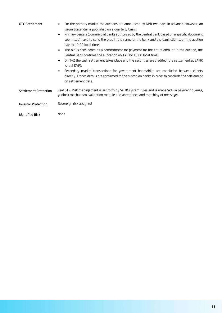| OTC Settlement             | For the primary market the auctions are announced by NBR two days in advance. However, an<br>$\bullet$<br>issuing calendar is published on a quarterly basis;<br>Primary dealers (commercial banks authorised by the Central Bank based on a specific document<br>$\bullet$<br>submitted) have to send the bids in the name of the bank and the bank clients, on the auction<br>day by 12:00 local time;<br>The bid is considered as a commitment for payment for the entire amount in the auction, the<br>$\bullet$<br>Central Bank confirms the allocation on T+0 by 16:00 local time;<br>On T+2 the cash settlement takes place and the securities are credited (the settlement at SAFIR<br>$\bullet$<br>is real DVP);<br>Secondary market transactions for government bonds/bills are concluded between clients<br>directly. Trades details are confirmed to the custodian banks in order to conclude the settlement<br>on settlement date. |
|----------------------------|-------------------------------------------------------------------------------------------------------------------------------------------------------------------------------------------------------------------------------------------------------------------------------------------------------------------------------------------------------------------------------------------------------------------------------------------------------------------------------------------------------------------------------------------------------------------------------------------------------------------------------------------------------------------------------------------------------------------------------------------------------------------------------------------------------------------------------------------------------------------------------------------------------------------------------------------------|
| Settlement Protection      | Real STP. Risk management is set forth by SaFIR system rules and is managed via payment queues,<br>gridlock mechanism, validation module and acceptance and matching of messages.                                                                                                                                                                                                                                                                                                                                                                                                                                                                                                                                                                                                                                                                                                                                                               |
| <b>Investor Protection</b> | Sovereign risk assigned                                                                                                                                                                                                                                                                                                                                                                                                                                                                                                                                                                                                                                                                                                                                                                                                                                                                                                                         |
| <b>Identified Risk</b>     | None                                                                                                                                                                                                                                                                                                                                                                                                                                                                                                                                                                                                                                                                                                                                                                                                                                                                                                                                            |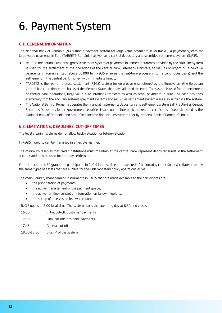### <span id="page-11-0"></span>6. Payment System

#### **6.1. GENERAL INFORMATION**

The National Bank of Romania (NBR) runs a payment system for large-value payments in lei [\(ReGIS\)](http://www.bnro.ro/apage.aspx?pid=3360), a payment system for large-value payments in Euro [\(TARGET2-România\)](http://www.bnro.ro/apage.aspx?pid=3360), as well as a central depository and securities settlement system [\(SaFIR\)](http://www.bnro.ro/apage.aspx?pid=3306).

- ReGIS is the national real-time gross settlement system of payments in domestic currency provided by the NBR. The system is used for the settlement of the operations of the central bank, interbank transfers, as well as of urgent or large-value payments in Romanian Leu (above 50,000 lei). ReGIS ensures the real-time processing (on a continuous basis) and the settlement in the central bank money, with immediate finality.
- TARGET2 is the real-time gross settlement (RTGS) system for euro payments, offered by the [Eurosystem](http://www.ecb.int/ecb/orga/escb/html/index.en.html) (the European Central Bank and the central banks of the Member States that have adopted the euro). The system is used for the settlement of central bank operations, large-value euro interbank transfers as well as other payments in euro. The cash positions stemming from the ancillary systems (payment systems and securities settlement systems) are also settled via the system.
- The National Bank of Romania operates the financial instruments depository and settlement system SaFIR, acting as Central Securities Depository for the government securities issued on the interbank market, the certificates of deposit issued by the National Bank of Romania and other fixed income financial instruments set by National Bank of Romania's Board.

#### **6.2. LIMITATIONS, DEADLINES, CUT-OFF TIMES**

The local clearing systems do not allow back-valuation or future-valuation.

In ReGIS, liquidity can be managed in a flexible manner.

The minimum reserves that credit institutions must maintain at the central bank represent deposited funds in the settlement account and may be used for intraday settlement.

Furthermore, the NBR grants the participants in ReGIS interest-free intraday credit (the intraday credit facility) collateralised by the same types of assets that are eligible for the NBR monetary policy operations as well.

The main liquidity management instruments in ReGIS that are made available to the participants are:

- the prioritisation of payments;
- the active management of the payment queue;
- the active (on-line) control of information on its own liquidity;
- the set-up of reserves on its own account.

ReGIS opens at 8:00 local time. The system starts the operating day at 8:30 and closes at:

- 16:00 Initial cut-off: customer payments
- 17:00 Final cut-off: interbank payments
- 17:45 General cut-off
- 18:00-18:30 Closing of the system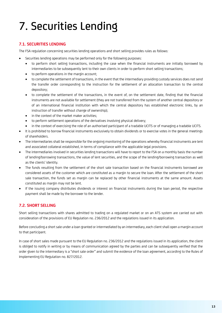### <span id="page-12-0"></span>7. Securities Lending

#### **7.1. SECURITIES LENDING**

The FSA regulation concerning securities lending operations and short selling provides rules as follows:

- Securities lending operations may be performed only for the following purposes:
	- to perform short selling transactions, including the case when the financial instruments are initially borrowed by intermediaries to be subsequently lent to their own clients in order to perform short selling transactions;
	- to perform operations in the margin account;
	- to complete the settlement of transactions, in the event that the intermediary providing custody services does not send the transfer order corresponding to the instruction for the settlement of an allocation transaction to the central depository;
	- to complete the settlement of the transactions, in the event of, on the settlement date, finding that the financial instruments are not available for settlement (they are not transferred from the system of another central depository or of an international financial institution with which the central depository has established electronic links, by an instruction of transfer without change of ownership);
	- in the context of the market maker activities;
	- to perform settlement operations of the derivatives involving physical delivery;
	- in the context of exercising the role of an authorised participant of a tradable UCITS or of managing a tradable UCITS.
- It is prohibited to borrow financial instruments exclusively to obtain dividends or to exercise votes in the general meetings of shareholders.
- The intermediaries shall be responsible for the ongoing monitoring of the operations whereby financial instruments are lent and associated collateral established, in terms of compliance with the applicable legal provisions.
- The intermediaries involved in securities lending transactions will have to report to the FSA on a monthly basis the number of lending/borrowing transactions, the value of lent securities, and the scope of the lending/borrowing transaction as well as the clients' identity.
- The funds resulting from the settlement of the short sale transaction based on the financial instruments borrowed are considered assets of the customer which are constituted as a margin to secure the loan. After the settlement of the short sale transaction, the funds set as margin can be replaced by other financial instruments at the same amount. Assets constituted as margin may not be lent.
- If the issuing company distributes dividends or interest on financial instruments during the loan period, the respective payment shall be made by the borrower to the lender.

#### **7.2. SHORT SELLING**

Short selling transactions with shares admitted to trading on a regulated market or on an ATS system are carried out with consideration of the provisions of EU Regulation no. 236/2012 and the regulations issued in its application.

Before concluding a short sale under a loan granted or intermediated by an intermediary, each client shall open a margin account to that participant.

In case of short sales made pursuant to the EU Regulation no. 236/2012 and the regulations issued in its application, the client is obliged to notify in writing or by means of communication agreed by the parties and can be subsequently verified that the order given to the intermediary is a "short sale order" and submit the evidence of the loan agreement, according to the Rules of Implementing EU Regulation no. 827/2012.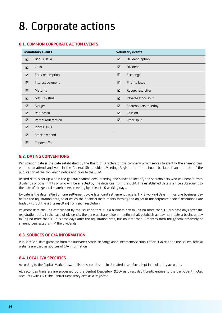### <span id="page-13-0"></span>8. Corporate actions

#### **8.1. COMMON CORPORATE ACTION EVENTS**

| <b>Mandatory events</b> |                    | <b>Voluntary events</b> |                      |
|-------------------------|--------------------|-------------------------|----------------------|
| ☑                       | Bonus issue        | ☑                       | Dividend option      |
| ☑                       | Cash               | ☑                       | Dividend             |
| ☑                       | Early redemption   | ☑                       | Exchange             |
| ☑                       | Interest payment   | ☑                       | Priority issue       |
| ☑                       | Maturity           | ☑                       | Repurchase offer     |
| ☑                       | Maturity (final)   | ☑                       | Reverse stock split  |
| ☑                       | Merger             | ☑                       | Shareholders meeting |
| ☑                       | Pari-passu         | ☑                       | Spin-off             |
| ☑                       | Partial redemption | ☑                       | Stock split          |
| ☑                       | Rights issue       |                         |                      |
| ☑                       | Stock dividend     |                         |                      |
| ☑                       | Tender offer       |                         |                      |

#### **8.2. DATING CONVENTIONS**

Registration date is the date established by the Board of Directors of the company which serves to identify the shareholders entitled to attend and vote in the General Shareholders Meeting. Registration date should be later than the date of the publication of the convening notice and prior to the GSM.

Record date is set up within the general shareholders' meeting and serves to identify the shareholders who will benefit from dividends or other rights or who will be affected by the decisions from the GSM. The established date shall be subsequent to the date of the general shareholders' meeting by at least 10 working days.

Ex-date is the date falling on one settlement cycle (standard settlement cycle is T + 2 working days) minus one business day before the registration date, as of which the financial instruments forming the object of the corporate bodies' resolutions are traded without the rights resulting from such resolution.

Payment date shall be established by the issuer so that it is a business day falling no more than 15 business days after the registration date. In the case of dividends, the general shareholders meeting shall establish as payment date a business day falling no more than 15 business days after the registration date, but no later than 6 months from the general assembly of shareholders establishing the dividends.

#### **8.3. SOURCES OF C/A INFORMATION**

Public official data gathered from the Bucharest Stock Exchange announcements section, Official Gazette and the issuers' official website are used as sources of C/A information

#### **8.4. LOCAL C/A SPECIFICS**

According to the Capital Market Law, all listed securities are in dematerialised form, kept in book-entry accounts.

All securities transfers are processed by the Central Depository (CSD) as direct debit/credit entries to the participant global accounts with CSD. The Central Depository acts as a Registrar.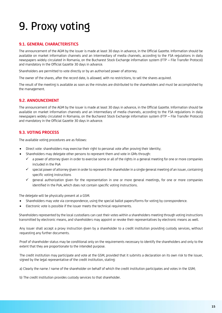### <span id="page-14-0"></span>9. Proxy voting

#### **9.1. GENERAL CHARACTERISTICS**

The announcement of the AGM by the issuer is made at least 30 days in advance, in the Official Gazette. Information should be available on market information channels and an intermediary of media channels, according to the FSA regulations in daily newspapers widely circulated in Romania, on the Bucharest Stock Exchange information system (FTP – File Transfer Protocol) and mandatory in the Official Gazette 30 days in advance.

Shareholders are permitted to vote directly or by an authorised power of attorney.

The owner of the shares, after the record date, is allowed, with no restrictions, to sell the shares acquired.

The result of the meeting is available as soon as the minutes are distributed to the shareholders and must be accomplished by the management.

#### **9.2. ANNOUNCEMENT**

The announcement of the AGM by the issuer is made at least 30 days in advance, in the Official Gazette. Information should be available on market information channels and an intermediary of media channels, according to the FSA regulations in daily newspapers widely circulated in Romania, on the Bucharest Stock Exchange information system (FTP – File Transfer Protocol) and mandatory in the Official Gazette 30 days in advance.

#### **9.3. VOTING PROCESS**

The available voting procedures are as follows:

- Direct vote: shareholders may exercise their right to personal vote after proving their identity;
- Shareholders may delegate other persons to represent them and vote in GMs through:
	- ✓ a power of attorney given in order to exercise some or all of the rights in a general meeting for one or more companies included in the PoA
	- $\checkmark$  special power of attorney given in order to represent the shareholder in a single general meeting of an issuer, containing specific voting instructions
	- ✓ general authorization given for the representation in one or more general meetings, for one or more companies identified in the PoA, which does not contain specific voting instructions.

The delegate will be physically present at a GSM.

- Shareholders may vote via correspondence, using the special ballot papers/forms for voting by correspondence.
- Electronic vote is possible if the issuer meets the technical requirements.

Shareholders represented by the local custodians can cast their votes within a shareholders meeting through voting instructions transmitted by electronic means, and shareholders may appoint or revoke their representatives by electronic means as well.

Any issuer shall accept a proxy instruction given by a shareholder to a credit institution providing custody services, without requesting any further documents.

Proof of shareholder status may be conditional only on the requirements necessary to identify the shareholders and only to the extent that they are proportionate to the intended purpose.

The credit institution may participate and vote at the GSM, provided that it submits a declaration on its own risk to the issuer, signed by the legal representative of the credit institution, stating:

a) Clearly the name / name of the shareholder on behalf of which the credit institution participates and votes in the GSM;

b) The credit institution provides custody services to that shareholder.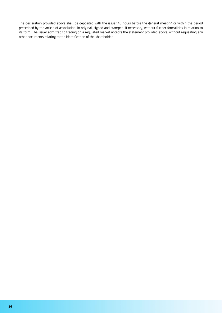The declaration provided above shall be deposited with the issuer 48 hours before the general meeting or within the period prescribed by the article of association, in original, signed and stamped, if necessary, without further formalities in relation to its form. The Issuer admitted to trading on a regulated market accepts the statement provided above, without requesting any other documents relating to the identification of the shareholder.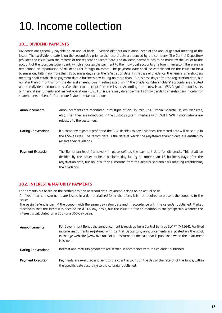### <span id="page-16-0"></span>10. Income collection

#### **10.1. DIVIDEND PAYMENTS**

Dividends are generally payable on an annual basis. Dividend distribution is announced at the annual general meeting of the issuer. The ex-dividend date is on the second day prior to the record date announced by the company. The Central Depository provides the issuer with the records of the registry on record date. The dividend payment has to be made by the issuer to the account of the local custodian bank, which allocates the payment to the individual accounts of a foreign investor. There are no restrictions on repatriation of dividends for foreign investors. The payment date shall be established by the issuer to be a business day falling no more than 15 business days after the registration date. In the case of dividends, the general shareholders meeting shall establish as payment date a business day falling no more than 15 business days after the registration date, but no later than 6 months from the general shareholders meeting establishing the dividends. Shareholders' accounts are credited with the dividend amount only after the actual receipt from the issuer. According to the new issued FSA Regulation on issuers of financial instruments and market operations (5/2018), issuers may defer payments of dividends to shareholders in order for shareholders to benefit from more favourable tax conditions.

| Announcements            | Announcements are monitored in multiple official sources (BSE, Official Gazette, issuers' websites,<br>etc.). Then they are introduced in the custody system interface with SWIFT. SWIFT notifications are<br>released to the customers.                                                                        |
|--------------------------|-----------------------------------------------------------------------------------------------------------------------------------------------------------------------------------------------------------------------------------------------------------------------------------------------------------------|
| Dating Conventions       | If a company registers profit and the GSM decides to pay dividends, the record date will be set up in<br>the GSM as well. The record date is the date at which the registered shareholders are entitled to<br>receive their dividends.                                                                          |
| <b>Payment Execution</b> | The Romanian legal framework in place defines the payment date for dividends. This shall be<br>decided by the issuer to be a business day falling no more than 15 business days after the<br>registration date, but no later than 6 months from the general shareholders meeting establishing<br>the dividends. |

#### **10.2. INTEREST & MATURITY PAYMENTS**

Entitlements are based on the settled position at record date. Payment is done on an actual basis.

All fixed income instruments are issued in a dematerialised form; therefore, it is not required to present the coupons to the issuer.

The paying agent is paying the coupon with the same day value date and in accordance with the calendar published. Market practice is that the interest is accrued on a 365-day basis, but the issuer is free to mention in the prospectus whether the interest is calculated on a 365- or a 360-day basis.

| Announcements             | For Government Bonds the announcement is received from Central Bank by SWIFT (MT564). For fixed<br>income instruments registered with Central Depository, announcements are posted on the stock<br>exchange web site (www.bvb.ro). For all instruments the calendar is published when the instrument<br>is issued. |
|---------------------------|--------------------------------------------------------------------------------------------------------------------------------------------------------------------------------------------------------------------------------------------------------------------------------------------------------------------|
| <b>Dating Conventions</b> | Interest and maturity payments are settled in accordance with the calendar published.                                                                                                                                                                                                                              |
| <b>Payment Execution</b>  | Payments are executed and sent to the client account on the day of the receipt of the funds, within<br>the specific date according to the calendar published.                                                                                                                                                      |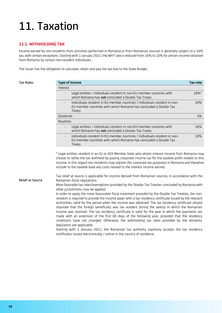### <span id="page-17-0"></span>11. Taxation

#### **11.1. WITHHOLDING TAX**

Income earned by non-residents from activities performed in Romania or from Romanian sources is generally subject to a 16% tax, with certain exceptions. Starting with 1 January 2021, the WHT rate is reduced from 16% to 10% for certain income obtained from Romania by certain non-resident individuals.

The issuer has the obligation to calculate, retain and pay the tax due to the State Budget.

| <b>Tax Rates</b>        | <b>Type of income</b>                                                                                                                                                                                                                                                                                                                                                                                                                                                                                                                                                                                                                                                                                                                                                                                                                                                                                                                                                                                                                                                                                                                                                                                                                           | Tax rate |
|-------------------------|-------------------------------------------------------------------------------------------------------------------------------------------------------------------------------------------------------------------------------------------------------------------------------------------------------------------------------------------------------------------------------------------------------------------------------------------------------------------------------------------------------------------------------------------------------------------------------------------------------------------------------------------------------------------------------------------------------------------------------------------------------------------------------------------------------------------------------------------------------------------------------------------------------------------------------------------------------------------------------------------------------------------------------------------------------------------------------------------------------------------------------------------------------------------------------------------------------------------------------------------------|----------|
|                         | Interest                                                                                                                                                                                                                                                                                                                                                                                                                                                                                                                                                                                                                                                                                                                                                                                                                                                                                                                                                                                                                                                                                                                                                                                                                                        |          |
|                         | Legal entities / individuals resident in non-EU member countries with<br>$\blacksquare$<br>which Romania has not concluded a Double Tax Treaty                                                                                                                                                                                                                                                                                                                                                                                                                                                                                                                                                                                                                                                                                                                                                                                                                                                                                                                                                                                                                                                                                                  | 16%*     |
|                         | Individuals resident in EU member countries / individuals resident in non-<br>EU member countries with which Romania has concluded a Double Tax<br>Treaty                                                                                                                                                                                                                                                                                                                                                                                                                                                                                                                                                                                                                                                                                                                                                                                                                                                                                                                                                                                                                                                                                       | 10%      |
|                         | <b>Dividends</b>                                                                                                                                                                                                                                                                                                                                                                                                                                                                                                                                                                                                                                                                                                                                                                                                                                                                                                                                                                                                                                                                                                                                                                                                                                | 5%       |
|                         | Royalties                                                                                                                                                                                                                                                                                                                                                                                                                                                                                                                                                                                                                                                                                                                                                                                                                                                                                                                                                                                                                                                                                                                                                                                                                                       |          |
|                         | Legal entities / individuals resident in non-EU member countries with<br>which Romania has not concluded a Double Tax Treaty                                                                                                                                                                                                                                                                                                                                                                                                                                                                                                                                                                                                                                                                                                                                                                                                                                                                                                                                                                                                                                                                                                                    | 16%      |
|                         | Individuals resident in EU member countries / individuals resident in non-<br>EU member countries with which Romania has concluded a Double Tax<br>Treaty                                                                                                                                                                                                                                                                                                                                                                                                                                                                                                                                                                                                                                                                                                                                                                                                                                                                                                                                                                                                                                                                                       | 10%      |
| <b>Relief at Source</b> | income. In this regard non-residents may register (for corporate tax purposes) in Romania and therefore<br>include to the taxable base any costs related to the interest income earned.<br>Tax relief at source is applicable for income derived from Romanian sources, in accordance with the<br>Romanian fiscal regulations.<br>More favorable tax rates/exemptions provided by the Double Tax Treaties concluded by Romania with<br>other jurisdictions may be applied.<br>In order to apply the more favourable fiscal treatment provided by the Double Tax Treaties, the non-<br>resident is required to provide the income payer with a tax residency certificate issued by the relevant<br>authorities, valid for the period when the income was obtained. The tax residency certificate should<br>stipulate that the foreign beneficiary was tax resident during the year(s) in which the Romanian<br>income was received. The tax residency certificate is valid for the year in which the payments are<br>made with an extension of the first 60 days of the following year, provided that the residency<br>conditions have not changed. Otherwise, the withholding tax rates provided by the domestic<br>legislation are applicable. |          |
|                         | Starting with 1 January 2021, the Romanian tax authority expressly accepts the tax residency<br>certificates issued electronically / online in the country of residence.                                                                                                                                                                                                                                                                                                                                                                                                                                                                                                                                                                                                                                                                                                                                                                                                                                                                                                                                                                                                                                                                        |          |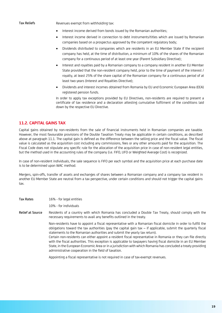Tax Reliefs Revenues exempt from withholding tax:

- Interest income derived from bonds issued by the Romanian authorities;
- Interest income derived in connection to debt instruments/titles which are issued by Romanian companies based on a prospectus approved by the competent regulatory body;
- Dividends distributed to companies which are residents in an EU Member State if the recipient company has held, at the time of distribution, a minimum of 10% of the shares of the Romanian company for a continuous period of at least one year (Parent Subsidiary Directive);
- Interest and royalties paid by a Romanian company to a company resident in another EU Member State provided that the non-resident company held, prior to the time of payment of the interest / royalty, at least 25% of the share capital of the Romanian company for a continuous period of at least two years (Interest and Royalties Directive);
- Dividends and interest incomes obtained from Romania by EU and Economic European Area (EEA) registered pension funds.

In order to apply tax exceptions provided by EU Directives, non-residents are required to present a certificate of tax residence and a declaration attesting cumulative fulfilment of the conditions laid down by the respective EU Directive.

#### **11.2. CAPITAL GAINS TAX**

Capital gains obtained by non-residents from the sale of financial instruments held in Romanian companies are taxable. However, the most favourable provisions of the Double Taxation Treaty may be applicable in certain conditions, as described above at paragraph 11.1. The capital gain is defined as the difference between the selling price and the fiscal value. The fiscal value is calculated as the acquisition cost including any commissions, fees or any other amounts paid for the acquisition. The Fiscal Code does not stipulate any specific rule for the allocation of the acquisition price in case of non-resident legal entities, but the method used in the accounting rules of the company (i.e. FIFO, LIFO or Weighted Average Cost) is recognized.

In case of non-resident individuals, the sale sequence is FIFO per each symbol and the acquisition price at each purchase date is to be determined upon WAC method.

Mergers, spin-offs, transfer of assets and exchanges of shares between a Romanian company and a company tax resident in another EU Member State are neutral from a tax perspective, under certain conditions and should not trigger the capital gains tax.

Tax Rates 16% - for legal entities

10% - for individuals

Relief at Source Residents of a country with which Romania has concluded a Double Tax Treaty, should comply with the necessary requirements to avail any benefits outlined in the treaty.

> Non-residents have to appoint a fiscal representative with a Romanian fiscal domicile in order to fulfill the obligations toward the tax authorities (pay the capital gain tax – if applicable, submit the quarterly fiscal statements to the Romanian authorities and submit the yearly tax return).

> Certain non-residents can either appoint a resident fiscal representative in Romania or they can file directly with the fiscal authorities. This exception is applicable to taxpayers having fiscal domicile in an EU Member State, in the European Economic Area or in a jurisdiction with which Romania has concluded a treaty providing administrative cooperation in the field of taxation.

Appointing a fiscal representative is not required in case of tax-exempt revenues.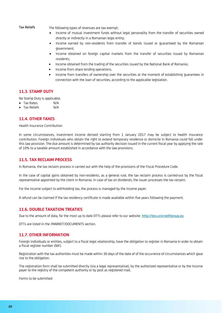Tax Reliefs The following types of revenues are tax exempt:

- Income of mutual investment funds without legal personality from the transfer of securities owned directly or indirectly in a Romanian legal entity;
- Income earned by non-residents from transfer of bonds issued or guaranteed by the Romanian government;
- Income obtained on foreign capital markets from the transfer of securities issued by Romanian residents;
- Income obtained from the trading of the securities issued by the National Bank of Romania;
- Income from share lending operations;
- Income from transfers of ownership over the securities at the moment of establishing guarantees in connection with the loan of securities, according to the applicable legislation.

#### **11.3. STAMP DUTY**

No Stamp Duty is applicable.

- Tax Rates N/A
- Tax Reliefs M/A

#### **11.4. OTHER TAXES**

Health Insurance Contribution

In some circumstances, investment income derived starting from 1 January 2017 may be subject to health insurance contribution. Foreign individuals who obtain the right to extend temporary residence or domicile in Romania could fall under this law provision. The due amount is determined by tax authority decision issued in the current fiscal year by applying the rate of 10% to a taxable amount established in accordance with the law provisions.

#### **11.5. TAX RECLAIM PROCESS**

In Romania, the tax reclaim process is carried out with the help of the provisions of the Fiscal Procedure Code.

In the case of capital gains obtained by non-residents, as a general rule, the tax reclaim process is carried-out by the fiscal representative appointed by the client in Romania. In case of tax on dividends, the issuer processes the tax reclaim.

For the income subject to withholding tax, the process is managed by the income payer.

A refund can be claimed if the tax residency certificate is made available within five years following the payment.

#### **11.6. DOUBLE TAXATION TREATIES**

Due to the amount of data, for the most up to date DTTs please refer to our website: [http://gss.unicreditgroup.eu](http://gss.unicreditgroup.eu/)

DTTs are listed in the /MARKET/DOCUMENTS section.

#### **11.7. OTHER INFORMATION**

Foreign individuals or entities, subject to a fiscal legal relationship, have the obligation to register in Romania in order to obtain a fiscal register number (NIF).

Registration with the tax authorities must be made within 30 days of the date of of the occurrence of circumstances which gave rise to the obligation.

The registration form shall be submitted directly (via a legal representative), by the authorized representative or by the income payer to the registry of the competent authority or by post as registered mail.

Forms to be submitted: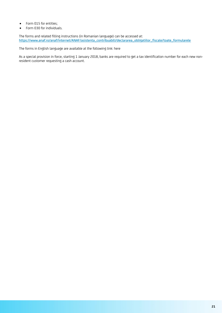- Form 015 for entities;
- Form 030 for individuals.

The forms and related filling instructions (in Romanian language) can be accessed at: [https://www.anaf.ro/anaf/internet/ANAF/asistenta\\_contribuabili/declararea\\_obligatiilor\\_fiscale/toate\\_formularele](https://www.anaf.ro/anaf/internet/ANAF/asistenta_contribuabili/declararea_obligatiilor_fiscale/toate_formularele)

The forms in English language are available at the following link: [here](https://www.anaf.ro/anaf/internet/ANAF/asistenta_contribuabili/declararea_obligatiilor_fiscale/toate_formularele/!ut/p/a1/pZDBCoJAEIafpYPHnElTrJsRtHrKQNK9hMa2CurKurX09qm3oDRobjN8H8z_A4UEaJM9Sp6pUjRZNezUvZAVcYnlWSGSCDFydsHJORwR904PpBPAxv7PR_c3H7-Mj3P-Geg0sp4BhoiTwJBhBCaeDIHySuRj4anf5LbHgUp2Y5JJ8y77c6FU220NNFBrbXIheMXMq6gN_KQUolOQvJPQ1nGcYBksaf7U_mLxAlpFGdU!/dl5/d5/L0lDUmlTUSEhL3dHa0FKRnNBLzRKVXBDQSEhL2Vu/)

As a special provision in force, starting 1 January 2018, banks are required to get a tax identification number for each new nonresident customer requesting a cash account.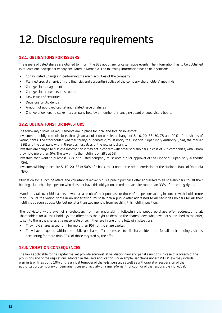### <span id="page-21-0"></span>12. Disclosure requirements

### **12.1. OBLIGATIONS FOR ISSUERS**

The issuers of listed shares are obliged to inform the BSE about any price sensitive events. The information has to be published in at least one newspaper widely circulated in Romania. The following information has to be disclosed:

- Consolidated Changes in performing the main activities of the company
- Planned crucial changes in the financial and accounting policy of the company shareholders' meetings
- Changes in management
- Changes in the ownership structure
- New issues of securities
- Decisions on dividends
- Amount of approved capital and related issue of shares
- Change of ownership stake in a company held by a member of managing board or supervisory board.

#### **12.2. OBLIGATIONS FOR INVESTORS**

The following disclosure requirements are in place for local and foreign investors:

Investors are obliged to disclose, through an acquisition or sale, a change of 5, 10, 20, 33, 50, 75 and 90% of the shares of voting rights. The stockholder, whether foreign or domestic, must notify the Financial Supervisory Authority (FSA), the market (BSE) and the company within three business days of the relevant change.

Investors are obliged to disclose information if they act in concert with other shareholders in case of SIFs companies, with whom they hold more than 5%. The law limits the holdings on SIFs at 5%.

Investors that want to purchase 33% of a listed company must obtain prior approval of the Financial Supervisory Authority (FSA).

Investors wishing to acquire 5, 10, 20, 33 or 50% of a bank, must obtain the prior permission of the National Bank of Romania (NBR).

Obligation for launching offers: the voluntary takeover bid is a public purchase offer addressed to all shareholders, for all their holdings, launched by a person who does not have this obligation, in order to acquire more than 33% of the voting rights.

Mandatory takeover bids: a person who, as a result of their purchase or those of the persons acting in concert with, holds more than 33% of the voting rights in an undertaking, must launch a public offer addressed to all securities holders for all their holdings as soon as possible, but no later than two months from reaching this holding position.

The obligatory withdrawal of shareholders from an undertaking: following the public purchase offer addressed to all shareholders for all their holdings, the offerer has the right to demand the shareholders who have not subscribed to the offer, to sell to them the shares at a reasonable price, if they are in one of the following situations:

- They hold shares accounting for more than 95% of the share capital.
- They have acquired within the public purchase offer addressed to all shareholders and for all their holdings, shares accounting for more than 90% of those targeted by the offer.

#### **12.3. VIOLATION CONSEQUENCES**

The laws applicable to the capital market provide administrative, disciplinary and penal sanctions in case of a breach of the provisions and of the regulations adopted in the laws application. For example, sanctions under "MiFID" law may include warnings or fines up to 10% of the annual turnover of the legal person, as well as withdrawal or suspension of the authorization, temporary or permanent cease of activity of a management function or of the responsible individual.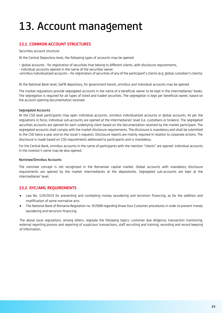### <span id="page-22-0"></span>13. Account management

### **13.1. COMMON ACCOUNT STRUCTURES**

Securities account structure:

At the Central Depository level, the following types of accounts may be opened:

- global accounts - for registration of securities that belong to different clients, with disclosure requirements,

- individual accounts opened in the name of the securities owner

-omnibus individualized accounts – for registration of securities of any of the participant's clients (e.g. global custodian's clients).

At the National Bank level, SaFIR depository, for government bonds, omnibus and individual accounts may be opened.

The market regulations provide segregated accounts in the name of a beneficial owner to be kept in the intermediaries' books. The segregation is required for all types of listed and traded securities. The segregation is kept per beneficial owner, based on the account opening documentation received.

#### Segregated Accounts

At the CSD level participants may open individual accounts, omnibus individualized accounts or global accounts. As per the regulations in force, individual sub-accounts are opened at the intermediaries' level (i.e. custodians or brokers). The segregated securities accounts are opened for each underlying client based on the documentation received by the market participant. The segregated accounts shall comply with the market disclosure requirements. The disclosure is mandatory and shall be submitted to the CSD twice a year and on the issuer's requests. Disclosure reports are mainly required in relation to corporate actions. The disclosure is made based on CSD requirements addressed to participants and is mandatory.

For the Central Bank, omnibus accounts in the name of participants with the mention "clients" are opened. Individual accounts in the investor's name may be also opened.

#### Nominee/Omnibus Accounts

The nominee concept is not recognised in the Romanian capital market. Global accounts with mandatory disclosure requirements are opened by the market intermediaries at the depositories. Segregated sub-accounts are kept at the intermediaries' level.

#### **13.2. KYC/AML REQUIREMENTS**

- Law No. 129/2019 for preventing and combating money laundering and terrorism financing, as for the addition and modification of some normative acts.
- The National Bank of Romania Regulation no. 9/2008 regarding Know Your Customer procedures in order to prevent money laundering and terrorism financing.

The above local regulations, among others, regulate the following topics: customer due diligence, transaction monitoring, external reporting process and reporting of suspicious transactions, staff recruiting and training, recording and record keeping of information.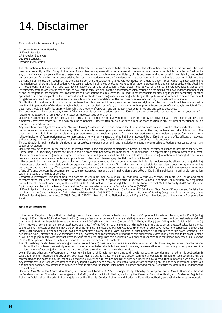### <span id="page-23-0"></span>14. Disclaimer

This publication is presented to you by:

Corporate & Investment Banking UniCredit Bank S.A. 1F, Expozitiei Boulevard 012101 Bucharest Romania ("UniCredit")

The information in this publication is based on carefully selected sources believed to be reliable, however the information contained in this document has not been independently verified. Except in the case of fraudulent misrepresentation, no representation or warranty (express or implied) is made by UniCredit or by any of its officers, employees, affiliates or agents as to the accuracy, completeness or sufficiency of this document and no responsibility or liability is accepted by such persons for any loss whatsoever arising from or in connection with use of or reliance on this document and such liability is expressly disclaimed. Any opinions herein reflect our judgement at the date hereof and are subject to change without notice. UniCredit is under no obligation to keep current the information contained in this publication. Any reports provided herein are provided for general information purposes only and cannot substitute the obtaining of independent financial, legal and tax advice. Receivers of this publication should obtain the advice of their banker/broker/advisors about any investments/product/activity concerned prior to evaluating them. Recipients of this document are solely responsible for making their own independent appraisal of and investigations into the products, investments and transactions herein referred to. UniCredit is not responsible for providing legal, tax, accounting, or other specialist advice and recipients of this document should make its own arrangements accordingly. Nothing in this publication is intended to create contractual obligations, nor can it be construed as an offer, solicitation or recommendation for the purchase or sale of any security or investment whatsoever.

Distribution of this document or information contained in this document to any person other than an original recipient (or to such recipient's advisors) is prohibited. Reproduction of this document, in whole or in part, or disclosure of any of its contents, without prior written consent of UniCredit, is prohibited. This document should be read in its entirety, it remains the property of UniCredit and on request must be returned and any copies destroyed.

This document shall not create any form of fiduciary or adviser/client relationship and UniCredit may only be regarded by you as acting on your behalf as following the execution of an engagement letter on mutually satisfactory terms.

UniCredit is a member of the UniCredit Group of companies ("UniCredit Group"). Any member of the UniCredit Group, together with their directors, officers and employees may have traded for their own account as principal, underwritten an issue or have a long or short position in any instrument mentioned in this material or related instrument.

Any projection, forecast, estimate or other "forward-looking" statement in this document is for illustrative purposes only and is not a reliable indicator of future performance. Actual events or conditions may differ materially from assumptions and some risks and uncertainties may not have been taken into account. The document may include information related to past performance or simulated past performance. Past performance or simulated past performance is not a reliable indicator of future performance. No representation or warranty is made, and no liability is accepted, by UniCredit or by any of its officers, employees, affiliates or agents in respect of the achievability or reasonableness of any forward-looking statements contained in this document.

This publication is not intended for distribution to, or use by, any person or entity in any jurisdiction or country where such distribution or use would be contrary to law or regulation.

UniCredit may be solicited in the course of its involvement in the transaction contemplated herein, by other investment clients to provide other services. Furthermore, UniCredit may allocate securities to its own proprietary book or to any member of UniCredit Group. This represents a potential conflict of interest. UniCredit has internal arrangements designed to ensure that it will give unbiased and full advice to its clients including valuation and pricing of a securities issue and has internal systems, controls and procedures to identify and to manage potential conflicts of interest.

If this presentation has been sent to you in electronic form, you are reminded that documents transmitted via this medium may be altered or changed during the process of electronic transmission and consequently neither UniCredit nor any of its holding companies, subsidiaries, associated undertakings or controlling persons, respective directors, officers, partners, employees, advisors, agents and/or representatives accept any liability or responsibility whatsoever in respect of any difference between the document sent to you in electronic format and the original version prepared by UniCredit. This publication is a financial promotion within the scope of the rules of Consob.

Corporate & Investment Banking of UniCredit consists of UniCredit Bank AG, Munich, UniCredit Bank Austria AG, Vienna, UniCredit S.p.A., Milan and other members of the UniCredit. UniCredit Group and its subsidiaries are subject to regulation by the European Central Bank. In addition UniCredit Bank AG is regulated by the Federal Financial Supervisory Authority (BaFin), UniCredit Bank Austria AG is regulated by the Austrian Financial Market Authority (FMA) and UniCredit S.p.A. is regulated by both the Banca d'Italia and the Commissione Nazionale per le Società e la Borsa (CONSOB).

UniCredit S.p.A. - joint stock company – with the Head Office in Milan: Piazza Gae Aulenti 3 - Tower A - 20154 Milano. Fiscal Code, VAT number and Registration number with the Company Register of Milan-Monza-Brianza-Lodi: : 00348170101 - Registered in the Register of Banking Groups and Parent Company of the UniCredit Banking Group, with. cod. 02008.1; Cod. ABI 02008.1 - Member of the National Interbank Deposit Guarantee Fund and of the National Compensation Fund.

#### **Note to UK Residents:**

In the United Kingdom, this publication is being communicated on a confidential basis only to clients of Corporate & Investment Banking of UniCredit (acting through UniCredit Bank AG, London Branch) who (i) have professional experience in matters relating to investments being investment professionals as defined in Article 19(5) of the Financial Services and Markets Act 2000 (Financial Promotion) Order 2005 ("FPO"); and/or (ii) are falling within Article 49(2) (a) – (d) ("high net worth companies, unincorporated associations etc.") of the FPO (or, to the extent that this publication relates to an unregulated collective scheme, to professional investors as defined in Article 14(5) of the Financial Services and Markets Act 2000 (Promotion of Collective Investment Schemes) (Exemptions) Order 2001 and/or (iii) to whom it may be lawful to communicate it, other than private investors (all such persons being referred to as "Relevant Persons"). This publication is only directed at Relevant Persons and any investment or investment activity to which this publication relates is only available to Relevant Persons or will be engaged in only with Relevant Persons. Solicitations resulting from this publication will only be responded to if the person concerned is a Relevant Person. Other persons should not rely or act upon this publication or any of its contents.

The information provided herein (including any report set out herein) does not constitute a solicitation to buy or an offer to sell any securities. The information in this publication is based on carefully selected sources believed to be reliable but we do not make any representation as to its accuracy or completeness. Any opinions herein reflect our judgement at the date hereof and are subject to change without notice.

We and/or any other entity of Corporate & Investment Banking of UniCredit may from time to time with respect to securities mentioned in this publication (i) take a long or short position and buy or sell such securities; (ii) act as investment bankers and/or commercial bankers for issuers of such securities; (iii) be represented on the board of any issuers of such securities; (iv) engage in "market making" of such securities; (v) have a consulting relationship with any issuer. Any investments discussed or recommended in any report provided herein may be unsuitable for investors depending on their specific investment objectives and financial position. Any information provided herein is provided for general information purposes only and cannot substitute the obtaining of independent financial advice.

UniCredit Bank AG London Branch, Moor House, 120 London Wall, London, EC2Y 5ET, is subject to regulation by the European Central Bank (ECB) and is authorised by Bundesanstalt für Finanzdienstleistungsaufsicht (BaFin) and subject to limited regulation by the Financial Conduct Authority and Prudential Regulation Authority. Details about the extent of our regulation by the Financial Conduct Authority and Prudential Regulation Authority are available from us on request.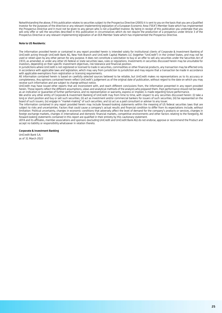Notwithstanding the above, if this publication relates to securities subject to the Prospectus Directive (2005) it is sent to you on the basis that you are a Qualified Investor for the purposes of the directive or any relevant implementing legislation of a European Economic Area ("EEA") Member State which has implemented the Prospectus Directive and it must not be given to any person who is not a Qualified Investor. By being in receipt of this publication you undertake that you will only offer or sell the securities described in this publication in circumstances which do not require the production of a prospectus under Article 3 of the Prospectus Directive or any relevant implementing legislation of an EEA Member State which has implemented the Prospectus Directive.

#### **Note to US Residents:**

The information provided herein or contained in any report provided herein is intended solely for institutional clients of Corporate & Investment Banking of UniCredit acting through UniCredit Bank AG, New York Branch and UniCredit Capital Markets LLC (together "UniCredit") in the United States, and may not be used or relied upon by any other person for any purpose. It does not constitute a solicitation to buy or an offer to sell any securities under the Securities Act of 1933, as amended, or under any other US federal or state securities laws, rules or regulations. Investments in securities discussed herein may be unsuitable for investors, depending on their specific investment objectives, risk tolerance and financial position.

In jurisdictions where UniCredit is not registered or licensed to trade in securities, commodities or other financial products, any transaction may be effected only in accordance with applicable laws and legislation, which may vary from jurisdiction to jurisdiction and may require that a transaction be made in accordance with applicable exemptions from registration or licensing requirements.

All information contained herein is based on carefully selected sources believed to be reliable, but UniCredit makes no representations as to its accuracy or completeness. Any opinions contained herein reflect UniCredit's judgement as of the original date of publication, without regard to the date on which you may receive such information and are subject to change without notice.

UniCredit may have issued other reports that are inconsistent with, and reach different conclusions from, the information presented in any report provided herein. Those reports reflect the different assumptions, views and analytical methods of the analysts who prepared them. Past performance should not be taken as an indication or guarantee of further performance, and no representation or warranty, express or implied, is made regarding future performance.

We and/or any other entity of Corporate & Investment Banking of UniCredit may from time to time, with respect to any securities discussed herein: (i) take a long or short position and buy or sell such securities; (ii) act as investment and/or commercial bankers for issuers of such securities; (iii) be represented on the board of such issuers; (iv) engage in "market-making" of such securities; and (v) act as a paid consultant or adviser to any issuer.

The information contained in any report provided herein may include forward-looking statements within the meaning of US federal securities laws that are subject to risks and uncertainties. Factors that could cause a company's actual results and financial condition to differ from its expectations include, without limitation: Political uncertainty, changes in economic conditions that adversely affect the level of demand for the company's products or services, changes in foreign exchange markets, changes in international and domestic financial markets, competitive environments and other factors relating to the foregoing. All forward-looking statements contained in this report are qualified in their entirety by this cautionary statement.

UEFA and its affiliates, member associations and sponsors (excluding UniCredit and UniCredit Bank AG) do not endorse, approve or recommend the Product and accept no liability or responsibility whatsoever in relation thereto.

#### **Corporate & Investment Banking**

UniCredit Bank S.A. as of 31 March 2022